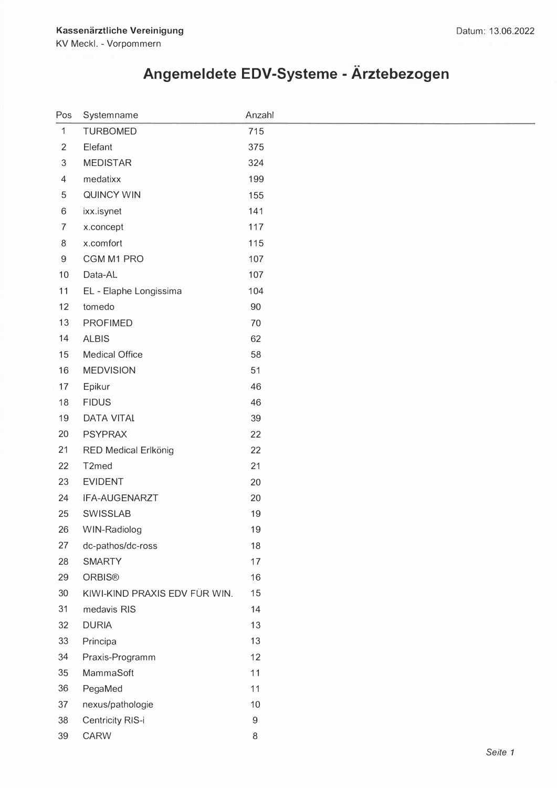## **Angemeldete EDV-Systeme - Arztebezogen**

| ⊃os              | Systemname                    | Anzahl           |
|------------------|-------------------------------|------------------|
| $\mathbf{1}$     | <b>TURBOMED</b>               | 715              |
| $\sqrt{2}$       | Elefant                       | 375              |
| $\mathfrak{S}$   | <b>MEDISTAR</b>               | 324              |
| $\overline{4}$   | medatixx                      | 199              |
| $\mathbf 5$      | <b>QUINCY WIN</b>             | 155              |
| $6\,$            | ixx.isynet                    | 141              |
| $\overline{7}$   | x.concept                     | 117              |
| $\,8\,$          | x.comfort                     | 115              |
| $\boldsymbol{9}$ | CGM M1 PRO                    | 107              |
| 10               | Data-AL                       | 107              |
| 11               | EL - Elaphe Longissima        | 104              |
| 12               | tomedo                        | 90               |
| 13               | <b>PROFIMED</b>               | 70               |
| 14               | <b>ALBIS</b>                  | 62               |
| 15               | <b>Medical Office</b>         | 58               |
| 16               | <b>MEDVISION</b>              | 51               |
| 17               | Epikur                        | 46               |
| 18               | <b>FIDUS</b>                  | 46               |
| 19               | <b>DATA VITAL</b>             | 39               |
| 20               | <b>PSYPRAX</b>                | 22               |
| 21               | RED Medical Erlkönig          | 22               |
| 22               | T2med                         | 21               |
| 23               | <b>EVIDENT</b>                | 20               |
| 24               | IFA-AUGENARZT                 | 20               |
| 25               | <b>SWISSLAB</b>               | 19               |
| 26               | WIN-Radiolog                  | 19               |
| 27               | dc-pathos/dc-ross             | 18               |
| 28               | <b>SMARTY</b>                 | 17               |
| 29               | <b>ORBIS®</b>                 | 16               |
| 30               | KIWI-KIND PRAXIS EDV FÜR WIN. | 15               |
| 31               | medavis RIS                   | 14               |
| 32               | <b>DURIA</b>                  | 13               |
| 33               | Principa                      | 13               |
| 34               | Praxis-Programm               | 12               |
| 35               | MammaSoft                     | 11               |
| 36               | PegaMed                       | 11               |
| 37               | nexus/pathologie              | 10               |
| 38               | Centricity RIS-i              | $\boldsymbol{9}$ |
| 39               | CARW                          | $\,8\,$          |